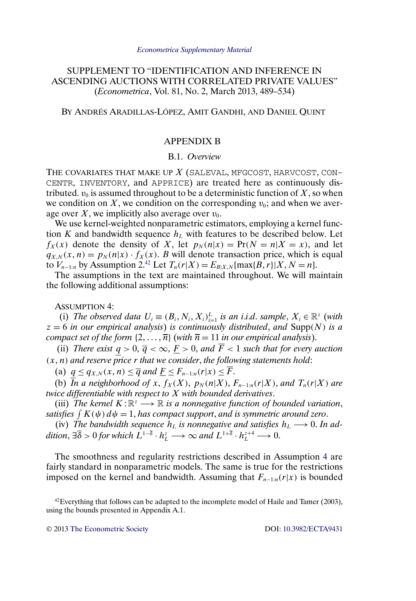## <span id="page-0-0"></span>SUPPLEMENT TO "IDENTIFICATION AND INFERENCE IN ASCENDING AUCTIONS WITH CORRELATED PRIVATE VALUES" (*Econometrica*, Vol. 81, No. 2, March 2013, 489–534)

BY ANDRÉS ARADILLAS-LÓPEZ, AMIT GANDHI, AND DANIEL QUINT

### APPENDIX B

#### B.1. *Overview*

THE COVARIATES THAT MAKE UP  $X$  (SALEVAL, MFGCOST, HARVCOST, CON-CENTR, INVENTORY, and APPRICE) are treated here as continuously distributed.  $v_0$  is assumed throughout to be a deterministic function of X, so when we condition on X, we condition on the corresponding  $v_0$ ; and when we average over X, we implicitly also average over  $v_0$ .

We use kernel-weighted nonparametric estimators, employing a kernel function K and bandwidth sequence  $h<sub>L</sub>$  with features to be described below. Let  $f_X(x)$  denote the density of X, let  $p_N(n|x) = Pr(N = n|X = x)$ , and let  $q_{X,N}(x, n) = p_N(n|x) \cdot f_X(x)$ . B will denote transaction price, which is equal to  $V_{n-1:n}$  by Assumption 2.<sup>42</sup> Let  $T_n(r|X) = E_{B|X,N}[\max\{B,r\}|X, N = n].$ 

The assumptions in the text are maintained throughout. We will maintain the following additional assumptions:

ASSUMPTION 4:

(i) The observed data  $U_i \equiv (B_i, N_i, X_i)_{i=1}^L$  is an i.i.d. sample,  $X_i \in \mathbb{R}^z$  (with  $z = 6$  *in our empirical analysis*) *is continuously distributed, and Supp(N) is a compact set of the form*  $\{2, \ldots, \overline{n}\}$  (*with*  $\overline{n} = 11$  *in our empirical analysis*).

(ii) *There exist*  $q > 0$ ,  $\overline{q} < \infty$ ,  $\underline{F} > 0$ , and  $\overline{F} < 1$  *such that for every auction* (x- n) *and reserve price* r *that we consider*, *the following statements hold*:

(a)  $q \leq q_{X,N}(x,n) \leq \overline{q}$  and  $\underline{F} \leq F_{n-1:n}(r|x) \leq \overline{F}$ .

(b) *In a neighborhood of x,*  $f_X(X)$ *,*  $p_N(n|X)$ *,*  $F_{n-1:n}(r|X)$ *, and*  $T_n(r|X)$  *are twice differentiable with respect to* X *with bounded derivatives*.

(iii) *The kernel*  $K: \mathbb{R}^z \longrightarrow \mathbb{R}$  *is a nonnegative function of bounded variation*, satisfies  $\int K(\psi) \, d\psi = 1$ , has compact support, and is symmetric around zero.

(iv) The bandwidth sequence  $h_L$  is nonnegative and satisfies  $h_L \longrightarrow 0$ . In addition,  $\exists \overline{\delta} > 0$  for which  $L^{1-\overline{\delta}} \cdot h_L^z \longrightarrow \infty$  and  $L^{1+\overline{\delta}} \cdot h_L^{z+4} \longrightarrow 0$ .

The smoothness and regularity restrictions described in Assumption 4 are fairly standard in nonparametric models. The same is true for the restrictions imposed on the kernel and bandwidth. Assuming that  $F_{n-1:n}(r|x)$  is bounded

 $42$  Everything that follows can be adapted to the incomplete model of Haile and Tamer (2003), using the bounds presented in Appendix A.1.

© 2013 [The Econometric Society](http://www.econometricsociety.org/) DOI: [10.3982/ECTA9431](http://dx.doi.org/10.3982/ECTA9431)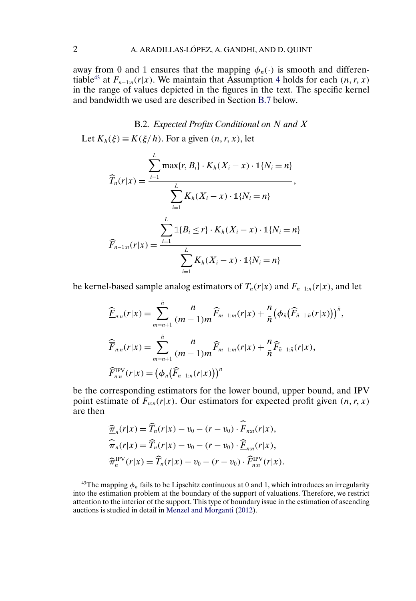<span id="page-1-0"></span>away from 0 and 1 ensures that the mapping  $\phi_n(\cdot)$  is smooth and differen-tiable<sup>[4](#page-0-0)3</sup> at  $F_{n-1:n}(r|x)$ . We maintain that Assumption 4 holds for each  $(n, r, x)$ in the range of values depicted in the figures in the text. The specific kernel and bandwidth we used are described in Section [B.7](#page-16-0) below.

B.2. *Expected Profits Conditional on* N *and* X Let  $K_h(\xi) \equiv K(\xi/h)$ . For a given  $(n, r, x)$ , let

$$
\widehat{T}_n(r|x) = \frac{\sum_{i=1}^L \max\{r, B_i\} \cdot K_h(X_i - x) \cdot \mathbb{1}\{N_i = n\}}{\sum_{i=1}^L K_h(X_i - x) \cdot \mathbb{1}\{N_i = n\}},
$$
\n
$$
\widehat{F}_{n-1:n}(r|x) = \frac{\sum_{i=1}^L \mathbb{1}\{B_i \le r\} \cdot K_h(X_i - x) \cdot \mathbb{1}\{N_i = n\}}{\sum_{i=1}^L K_h(X_i - x) \cdot \mathbb{1}\{N_i = n\}}
$$

be kernel-based sample analog estimators of  $T_n(r|x)$  and  $F_{n-1:n}(r|x)$ , and let

$$
\begin{aligned}\n\widehat{\underline{F}}_{n:n}(r|x) &= \sum_{m=n+1}^{\bar{n}} \frac{n}{(m-1)m} \widehat{F}_{m-1:m}(r|x) + \frac{n}{\bar{n}} \big( \phi_{\bar{n}} \big( \widehat{F}_{\bar{n}-1:\bar{n}}(r|x) \big) \big)^{\bar{n}}, \\
\widehat{\overline{F}}_{n:n}(r|x) &= \sum_{m=n+1}^{\bar{n}} \frac{n}{(m-1)m} \widehat{F}_{m-1:m}(r|x) + \frac{n}{\bar{n}} \widehat{F}_{\bar{n}-1:\bar{n}}(r|x), \\
\widehat{F}_{n:n}^{\text{IPV}}(r|x) &= \big( \phi_n \big( \widehat{F}_{n-1:n}(r|x) \big) \big)^n\n\end{aligned}
$$

be the corresponding estimators for the lower bound, upper bound, and IPV point estimate of  $F_{n:n}(r|x)$ . Our estimators for expected profit given  $(n, r, x)$ are then

$$
\begin{aligned}\n\widehat{\overline{\pi}}_n(r|x) &= \widehat{T}_n(r|x) - v_0 - (r - v_0) \cdot \widehat{\overline{F}}_{n:n}(r|x), \\
\widehat{\overline{\pi}}_n(r|x) &= \widehat{T}_n(r|x) - v_0 - (r - v_0) \cdot \widehat{\underline{F}}_{n:n}(r|x), \\
\widehat{\pi}_n^{\text{IPV}}(r|x) &= \widehat{T}_n(r|x) - v_0 - (r - v_0) \cdot \widehat{F}_{n:n}^{\text{IPV}}(r|x).\n\end{aligned}
$$

<sup>43</sup>The mapping  $\phi_n$  fails to be Lipschitz continuous at 0 and 1, which introduces an irregularity into the estimation problem at the boundary of the support of valuations. Therefore, we restrict attention to the interior of the support. This type of boundary issue in the estimation of ascending auctions is studied in detail in [Menzel and Morganti](#page-22-0) [\(2012\)](#page-22-0).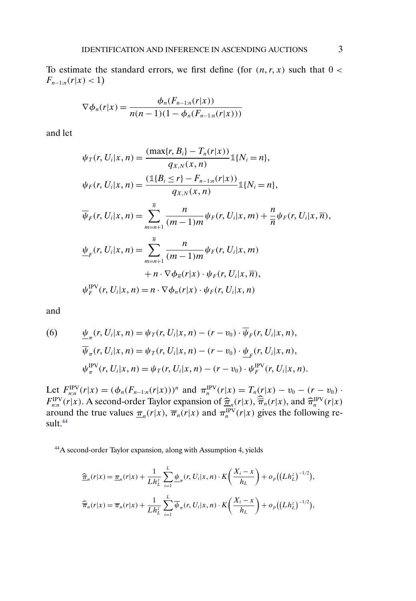<span id="page-2-0"></span>To estimate the standard errors, we first define (for  $(n, r, x)$  such that  $0 <$  $F_{n-1:n}(r|x) < 1$ 

$$
\nabla \phi_n(r|x) = \frac{\phi_n(F_{n-1:n}(r|x))}{n(n-1)(1-\phi_n(F_{n-1:n}(r|x)))}
$$

and let

$$
\psi_T(r, U_i | x, n) = \frac{(\max\{r, B_i\} - T_n(r | x))}{q_{X,N}(x, n)} \mathbb{1}\{N_i = n\},
$$
  
\n
$$
\psi_F(r, U_i | x, n) = \frac{(\mathbb{1}\{B_i \le r\} - F_{n-1:n}(r | x))}{q_{X,N}(x, n)} \mathbb{1}\{N_i = n\},
$$
  
\n
$$
\overline{\psi}_F(r, U_i | x, n) = \sum_{m=n+1}^{\overline{n}} \frac{n}{(m-1)m} \psi_F(r, U_i | x, m) + \frac{n}{\overline{n}} \psi_F(r, U_i | x, \overline{n}),
$$
  
\n
$$
\underline{\psi}_F(r, U_i | x, n) = \sum_{m=n+1}^{\overline{n}} \frac{n}{(m-1)m} \psi_F(r, U_i | x, m)
$$
  
\n
$$
+ n \cdot \nabla \phi_{\overline{n}}(r | x) \cdot \psi_F(r, U_i | x, n),
$$
  
\n
$$
\psi_F^{\text{IPV}}(r, U_i | x, n) = n \cdot \nabla \phi_n(r | x) \cdot \psi_F(r, U_i | x, n)
$$

and

(6) 
$$
\frac{\psi_{\pi}(r, U_i | x, n) = \psi_T(r, U_i | x, n) - (r - v_0) \cdot \overline{\psi}_F(r, U_i | x, n),
$$

$$
\overline{\psi}_{\pi}(r, U_i | x, n) = \psi_T(r, U_i | x, n) - (r - v_0) \cdot \underline{\psi}_F(r, U_i | x, n),
$$

$$
\psi_{\pi}^{\text{IPV}}(r, U_i | x, n) = \psi_T(r, U_i | x, n) - (r - v_0) \cdot \psi_F^{\text{IPV}}(r, U_i | x, n).
$$

Let  $F_{n:n}^{\text{IPV}}(r|x) = (\phi_n(F_{n-1:n}(r|x)))^n$  and  $\pi_n^{\text{IPV}}(r|x) = T_n(r|x) - v_0 - (r - v_0)$ .  $F_{n,n}^{\text{IPV}}(r|x)$ . A second-order Taylor expansion of  $\hat{\pi}_n(r|x)$ ,  $\hat{\pi}_n(r|x)$ , and  $\hat{\pi}_n^{\text{IPV}}(r|x)$ around the true values  $\pi_n(r|x)$ ,  $\overline{\pi}_n(r|x)$  and  $\pi_n^{\text{IPV}}(r|x)$  gives the following result.<sup>44</sup>

44A second-order Taylor expansion, along with Assumption [4,](#page-0-0) yields

$$
\begin{split} &\frac{\widehat{\pi}_n(r|x) = \underline{\pi}_n(r|x) + \frac{1}{Lh_L^2} \sum_{i=1}^L \underline{\psi}_\pi(r, U_i|x, n) \cdot K\left(\frac{X_i - x}{h_L}\right) + o_p((Lh_L^z)^{-1/2}), \\ &\frac{\widehat{\pi}_n(r|x) = \overline{\pi}_n(r|x) + \frac{1}{Lh_L^2} \sum_{i=1}^L \overline{\psi}_\pi(r, U_i|x, n) \cdot K\left(\frac{X_i - x}{h_L}\right) + o_p((Lh_L^z)^{-1/2}), \end{split}
$$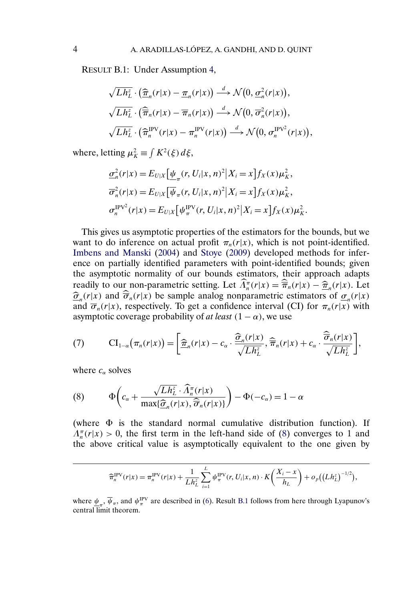<span id="page-3-0"></span>RESULT B.1: Under Assumption [4,](#page-0-0)

$$
\sqrt{Lh_L^z} \cdot (\widehat{\underline{\pi}}_n(r|x) - \underline{\pi}_n(r|x)) \stackrel{d}{\longrightarrow} \mathcal{N}\big(0, \underline{\sigma}_n^2(r|x)\big),
$$
  

$$
\sqrt{Lh_L^z} \cdot (\widehat{\overline{\pi}}_n(r|x) - \overline{\pi}_n(r|x)) \stackrel{d}{\longrightarrow} \mathcal{N}\big(0, \overline{\sigma}_n^2(r|x)\big),
$$
  

$$
\sqrt{Lh_L^z} \cdot (\widehat{\pi}_n^{\text{IPV}}(r|x) - \pi_n^{\text{IPV}}(r|x)) \stackrel{d}{\longrightarrow} \mathcal{N}\big(0, \sigma_n^{\text{IPV}^2}(r|x)\big),
$$

where, letting  $\mu_K^2 \equiv \int K^2(\xi) d\xi$ ,

$$
\underline{\sigma}_n^2(r|x) = E_{U|X} \left[ \underline{\psi}_\pi(r, U_i|x, n)^2 | X_i = x \right] f_X(x) \mu_K^2,
$$
  

$$
\overline{\sigma}_n^2(r|x) = E_{U|X} \left[ \overline{\psi}_\pi(r, U_i|x, n)^2 | X_i = x \right] f_X(x) \mu_K^2,
$$
  

$$
\sigma_n^{\text{IPV}^2}(r|x) = E_{U|X} \left[ \psi_\pi^{\text{IPV}}(r, U_i|x, n)^2 | X_i = x \right] f_X(x) \mu_K^2.
$$

This gives us asymptotic properties of the estimators for the bounds, but we want to do inference on actual profit  $\pi_n(r|x)$ , which is not point-identified. [Imbens and Manski](#page-22-0) [\(2004\)](#page-22-0) and [Stoye](#page-22-0) [\(2009\)](#page-22-0) developed methods for inference on partially identified parameters with point-identified bounds; given the asymptotic normality of our bounds estimators, their approach adapts readily to our non-parametric setting. Let  $\Lambda_n^{\pi}(r|x) = \hat{\pi}_n(r|x) - \hat{\pi}_n(r|x)$ . Let  $\hat{\sigma}_n(r|x)$  and  $\hat{\overline{\sigma}}_n(r|x)$  be sample analog nonparametric estimators of  $\sigma_n(r|x)$ and  $\overline{\sigma}_n(r|x)$ , respectively. To get a confidence interval (CI) for  $\pi_n(r|x)$  with asymptotic coverage probability of *at least*  $(1 - \alpha)$ , we use

(7) 
$$
\mathrm{CI}_{1-\alpha}\big(\pi_n(r|x)\big) = \bigg[\frac{\widehat{\pi}_n(r|x) - c_\alpha \cdot \frac{\widehat{\sigma}_n(r|x)}{\sqrt{Lh_L^z}}, \widehat{\pi}_n(r|x) + c_\alpha \cdot \frac{\widehat{\sigma}_n(r|x)}{\sqrt{Lh_L^z}}\bigg],
$$

where  $c_{\alpha}$  solves

(8) 
$$
\Phi\left(c_{\alpha} + \frac{\sqrt{Lh_L^2} \cdot \widehat{\Lambda}_n^{\pi}(r|x)}{\max\{\widehat{\sigma}_n(r|x), \widehat{\overline{\sigma}}_n(r|x)\}}\right) - \Phi(-c_{\alpha}) = 1 - \alpha
$$

(where  $\Phi$  is the standard normal cumulative distribution function). If  $\Lambda_n^{\pi}(r|x) > 0$ , the first term in the left-hand side of (8) converges to 1 and the above critical value is asymptotically equivalent to the one given by

$$
\widehat{\pi}_n^{\text{IPV}}(r|x) = \pi_n^{\text{IPV}}(r|x) + \frac{1}{L h_L^z} \sum_{i=1}^L \psi_{\pi}^{\text{IPV}}(r, U_i|x, n) \cdot K\left(\frac{X_i - x}{h_L}\right) + o_p((L h_L^z)^{-1/2}),
$$

where  $\psi_{\pi}$ ,  $\overline{\psi}_{\pi}$ , and  $\psi_{\pi}^{\text{PV}}$  are described in [\(6\)](#page-2-0). Result B.1 follows from here through Lyapunov's central  $\overline{\text{limit}}$  theorem.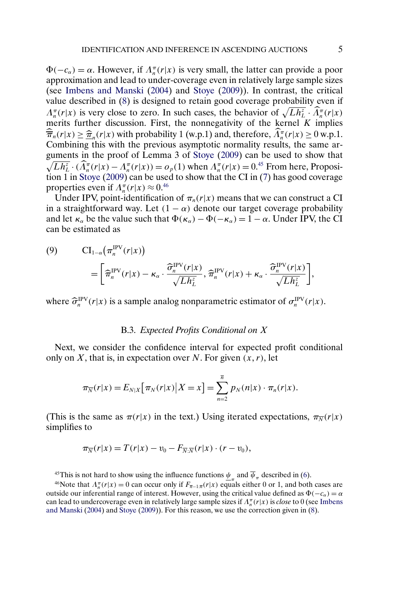<span id="page-4-0"></span> $\Phi(-c_{\alpha}) = \alpha$ . However, if  $\Lambda_n^{\pi}(r|x)$  is very small, the latter can provide a poor approximation and lead to under-coverage even in relatively large sample sizes (see [Imbens and Manski](#page-22-0) [\(2004\)](#page-22-0) and [Stoye](#page-22-0) [\(2009\)](#page-22-0)). In contrast, the critical value described in [\(8\)](#page-3-0) is designed to retain good coverage probability even if  $\Lambda_n^{\pi}(r|x)$  is very close to zero. In such cases, the behavior of  $\sqrt{L h_L^2} \cdot \widehat{\Lambda}_n^{\pi}(r|x)$ merits further discussion. First, the nonnegativity of the kernel  $K$  implies  $\overline{\overline{\pi}}_n(r|x) \geq \underline{\widehat{\pi}}_n(r|x)$  with probability 1 (w.p.1) and, therefore,  $\Lambda_n^{\pi}(r|x) \geq 0$  w.p.1. Combining this with the previous asymptotic normality results, the same arguments in the proof of Lemma 3 of [Stoye](#page-22-0) [\(2009\)](#page-22-0) can be used to show that  $\sqrt{Lh_L^2} \cdot (\widehat{\Lambda}_n^{\pi}(r|x) - \Lambda_n^{\pi}(r|x)) = o_p(1)$  when  $\Lambda_n^{\pi}(r|x) = 0.45$  From here, Proposition 1 in [Stoye](#page-22-0) [\(2009\)](#page-22-0) can be used to show that the CI in [\(7\)](#page-3-0) has good coverage properties even if  $\Lambda_n^{\pi}(r|x) \approx 0.46$ 

Under IPV, point-identification of  $\pi_n(r|x)$  means that we can construct a CI in a straightforward way. Let  $(1 - \alpha)$  denote our target coverage probability and let  $\kappa_{\alpha}$  be the value such that  $\Phi(\kappa_{\alpha}) - \Phi(-\kappa_{\alpha}) = 1 - \alpha$ . Under IPV, the CI can be estimated as

(9) 
$$
\text{CI}_{1-\alpha}(\pi_n^{\text{IPV}}(r|x)) = \left[\widehat{\pi}_n^{\text{IPV}}(r|x) - \kappa_\alpha \cdot \frac{\widehat{\sigma}_n^{\text{IPV}}(r|x)}{\sqrt{L h_L^2}}, \widehat{\pi}_n^{\text{IPV}}(r|x) + \kappa_\alpha \cdot \frac{\widehat{\sigma}_n^{\text{IPV}}(r|x)}{\sqrt{L h_L^2}}\right],
$$

where  $\hat{\sigma}_n^{\text{IPV}}(r|x)$  is a sample analog nonparametric estimator of  $\sigma_n^{\text{IPV}}(r|x)$ .

#### B.3. *Expected Profits Conditional on* X

Next, we consider the confidence interval for expected profit conditional only on X, that is, in expectation over N. For given  $(x, r)$ , let

$$
\pi_{\overline{N}}(r|x) = E_{N|X}[\pi_N(r|x)|X = x] = \sum_{n=2}^{\overline{n}} p_N(n|x) \cdot \pi_n(r|x).
$$

(This is the same as  $\pi(r|x)$  in the text.) Using iterated expectations,  $\pi_{\overline{N}}(r|x)$ simplifies to

$$
\pi_{\overline{N}}(r|x) = T(r|x) - v_0 - F_{\overline{N}:\overline{N}}(r|x) \cdot (r - v_0),
$$

<sup>45</sup>This is not hard to show using the influence functions  $\psi_{\pi}$  and  $\overline{\psi}_{\pi}$  described in [\(6\)](#page-2-0).<br><sup>46</sup>Note that  $\Lambda_n^{\pi}(r|x) = 0$  can occur only if  $F_{\overline{n}-1:\overline{n}}(r|x)$  equals either 0 or 1, and both cases are outside our inferential range of interest. However, using the critical value defined as  $\Phi(-c_{\alpha}) = \alpha$ can lead to undercoverage even in relatively large sample sizes if  $\Lambda_n^{\pi}(r|x)$  is *close* to 0 (see [Imbens](#page-22-0) [and Manski](#page-22-0) [\(2004\)](#page-22-0) and [Stoye](#page-22-0) [\(2009\)](#page-22-0)). For this reason, we use the correction given in [\(8\)](#page-3-0).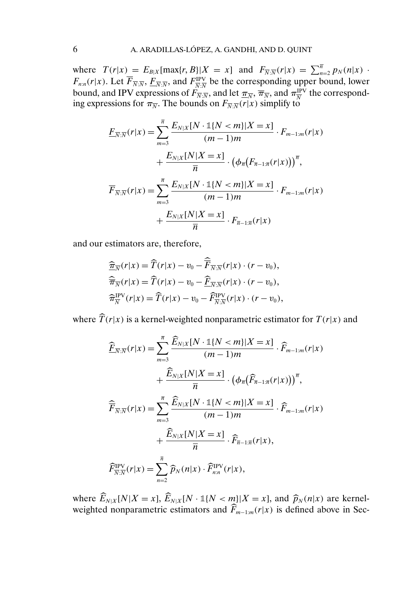where  $T(r|x) = E_{B|X}[\max\{r, B\}|X=x]$  and  $F_{\overline{N}:\overline{N}}(r|x) = \sum_{n=2}^{\overline{n}} p_N(n|x)$ .  $F_{n:n}(r|x)$ . Let  $\overline{F}_{\overline{N}:\overline{N}}, \underline{F}_{\overline{N}:\overline{N}}$ , and  $F_{\overline{N}:\overline{N}}^{\text{IPV}}$  be the corresponding upper bound, lower bound, and IPV expressions of  $F_{\overline{N}:\overline{N}}$ , and let  $\overline{\pi_{\overline{N}}}$ ,  $\overline{\pi_{\overline{N}}}$ , and  $\pi_{\overline{N}}^{\text{IPV}}$  the corresponding expressions for  $\pi_{\overline{N}}$ . The bounds on  $F_{\overline{N}:\overline{N}}(r|x)$  simplify to

$$
\underline{F}_{\overline{N}:\overline{N}}(r|x) = \sum_{m=3}^{\overline{n}} \frac{E_{N|X}[N \cdot \mathbb{1}\{N < m\}|X = x]}{(m-1)m} \cdot F_{m-1:m}(r|x) \n+ \frac{E_{N|X}[N|X = x]}{\overline{n}} \cdot \left(\phi_{\overline{n}}(F_{\overline{n}-1:\overline{n}}(r|x))\right)^{\overline{n}}, \n\overline{F}_{\overline{N}:\overline{N}}(r|x) = \sum_{m=3}^{\overline{n}} \frac{E_{N|X}[N \cdot \mathbb{1}\{N < m\}|X = x]}{(m-1)m} \cdot F_{m-1:m}(r|x) \n+ \frac{E_{N|X}[N|X = x]}{\overline{n}} \cdot F_{\overline{n}-1:\overline{n}}(r|x)
$$

and our estimators are, therefore,

$$
\begin{aligned}\n\widehat{\overline{x}}_{\overline{N}}(r|x) &= \widehat{T}(r|x) - v_0 - \widehat{\overline{F}}_{\overline{N}:\overline{N}}(r|x) \cdot (r - v_0), \\
\widehat{\overline{\overline{\pi}}}_{\overline{N}}(r|x) &= \widehat{T}(r|x) - v_0 - \widehat{\underline{F}}_{\overline{N}:\overline{N}}(r|x) \cdot (r - v_0), \\
\widehat{\overline{\pi}}_{\overline{N}}^{\text{IPV}}(r|x) &= \widehat{T}(r|x) - v_0 - \widehat{F}_{\overline{N}:\overline{N}}^{\text{IPV}}(r|x) \cdot (r - v_0),\n\end{aligned}
$$

where  $\widehat{T}(r|x)$  is a kernel-weighted nonparametric estimator for  $T(r|x)$  and

$$
\begin{split}\n\widehat{\underline{F}}_{\overline{N:N}}(r|x) &= \sum_{m=3}^{\overline{n}} \frac{\widehat{E}_{N|X}[N \cdot \mathbb{1}\{N < m\}|X=x]}{(m-1)m} \cdot \widehat{F}_{m-1:m}(r|x) \\
&\quad + \frac{\widehat{E}_{N|X}[N|X=x]}{\overline{n}} \cdot \left(\phi_{\overline{n}}(\widehat{F}_{\overline{n}-1:\overline{n}}(r|x))\right)^{\overline{n}}, \\
\widehat{\overline{F}}_{\overline{N:N}}(r|x) &= \sum_{m=3}^{\overline{n}} \frac{\widehat{E}_{N|X}[N \cdot \mathbb{1}\{N < m\}|X=x]}{(m-1)m} \cdot \widehat{F}_{m-1:m}(r|x) \\
&\quad + \frac{\widehat{E}_{N|X}[N|X=x]}{\overline{n}} \cdot \widehat{F}_{\overline{n}-1:\overline{n}}(r|x), \\
\widehat{F}_{\overline{N:N}}^{\text{IPV}}(r|x) &= \sum_{n=2}^{\overline{n}} \widehat{p}_{N}(n|x) \cdot \widehat{F}_{n:n}^{\text{IPV}}(r|x),\n\end{split}
$$

where  $\overline{E}_{N|X}[N|X=x]$ ,  $\overline{E}_{N|X}[N \cdot \mathbb{1}{N < m}]|X=x|$ , and  $\widehat{p}_N(n|x)$  are kernel-weighted nonparametric estimators and  $\widehat{F}_{m-1:m}(r|x)$  is defined above in Sec-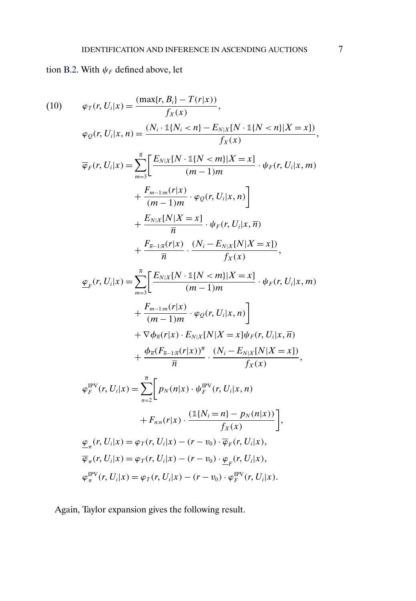# <span id="page-6-0"></span>tion [B.2.](#page-1-0) With  $\psi_F$  defined above, let

(10) 
$$
\varphi_T(r, U_i | x) = \frac{(\max\{r, B_i\} - T(r | x))}{f_X(x)},
$$

$$
\varphi_Q(r, U_i | x, n) = \frac{(N_i \cdot 1\{N_i < n\} - E_{N \mid X}[N \cdot 1\{N < n\} | X = x])}{f_X(x)},
$$

$$
\overline{\varphi}_F(r, U_i | x) = \sum_{m=3}^{\pi} \left[ \frac{E_{N \mid X}[N \cdot 1\{N < m\} | X = x]}{(m-1)m} \cdot \psi_F(r, U_i | x, m) + \frac{E_{m-1 \mid m}(r | x)}{(m-1) m} \cdot \varphi_Q(r, U_i | x, n) \right]
$$

$$
+ \frac{E_{N \mid X}[N | X = x]}{\overline{n}} \cdot \psi_F(r, U_i | x, \overline{n}) + \frac{E_{N \mid X}[N | X = x]}{\overline{n}} \cdot \frac{(N_i - E_{N \mid X}[N | X = x])}{f_X(x)},
$$

$$
\underline{\varphi}_F(r, U_i | x) = \sum_{m=3}^{\pi} \left[ \frac{E_{N \mid X}[N \cdot 1\{N < m\} | X = x]}{(m-1)m} \cdot \psi_F(r, U_i | x, m) + \frac{E_{m-1 \mid m}(r | x)}{(m-1) m} \cdot \varphi_Q(r, U_i | x, n) \right]
$$

$$
+ \nabla \phi_{\overline{n}}(r | x) \cdot E_{N \mid X}[N | X = x] \psi_F(r, U_i | x, \overline{n}) + \frac{\phi_{\overline{n}}(F_{\overline{n-1} \mid \overline{n}}(r | x))}{\overline{n}} \cdot \frac{(N_i - E_{N \mid X}[N | X = x])}{f_X(x)},
$$

$$
\varphi_F^{\text{PV}}(r, U_i | x) = \sum_{n=2}^{\pi} \left[ p_N(n | x) \cdot \psi_F^{\text{PV}}(r, U_i | x, n) + F_{n \mid n}(r | x) \cdot \frac{(1\{N_i = n\} - p_N(n | x))}{f_X(x)} \right],
$$

$$
\underline{\varphi}_F(r, U_i | x) = \varphi_T(r, U_i | x) - (r - v_0) \cdot \overline{\varphi}_F(r, U_i | x),
$$

$$
\varphi_{\over
$$

Again, Taylor expansion gives the following result.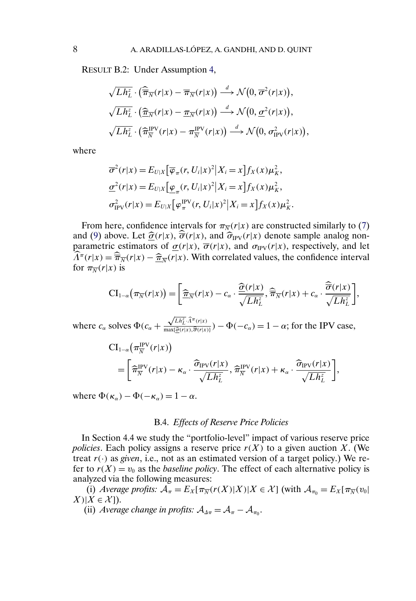RESULT B.2: Under Assumption [4,](#page-0-0)

$$
\sqrt{Lh_L^z} \cdot (\widehat{\overline{\pi}}_{\overline{N}}(r|x) - \overline{\pi}_{\overline{N}}(r|x)) \stackrel{d}{\longrightarrow} \mathcal{N}(0, \overline{\sigma}^2(r|x)),
$$
  

$$
\sqrt{Lh_L^z} \cdot (\widehat{\underline{\pi}}_{\overline{N}}(r|x) - \underline{\pi}_{\overline{N}}(r|x)) \stackrel{d}{\longrightarrow} \mathcal{N}(0, \underline{\sigma}^2(r|x)),
$$
  

$$
\sqrt{Lh_L^z} \cdot (\widehat{\pi}_{\overline{N}}^{\text{IPV}}(r|x) - \pi_{\overline{N}}^{\text{IPV}}(r|x)) \stackrel{d}{\longrightarrow} \mathcal{N}(0, \sigma_{\text{IPV}}^2(r|x)),
$$

where

$$
\overline{\sigma}^2(r|x) = E_{U|X} \left[ \overline{\varphi}_{\pi}(r, U_i|x)^2 | X_i = x \right] f_X(x) \mu_K^2,
$$
  

$$
\underline{\sigma}^2(r|x) = E_{U|X} \left[ \underline{\varphi}_{\pi}(r, U_i|x)^2 | X_i = x \right] f_X(x) \mu_K^2,
$$
  

$$
\sigma_{IPV}^2(r|x) = E_{U|X} \left[ \varphi_{\pi}^{IPV}(r, U_i|x)^2 | X_i = x \right] f_X(x) \mu_K^2.
$$

From here, confidence intervals for  $\pi_{\overline{N}}(r|x)$  are constructed similarly to [\(7\)](#page-3-0) and [\(9\)](#page-4-0) above. Let  $\hat{\sigma}(r|x)$ ,  $\hat{\overline{\sigma}}(r|x)$ , and  $\hat{\sigma}_{IPV}(r|x)$  denote sample analog nonparametric estimators of  $\sigma(r|x)$ ,  $\overline{\sigma}(r|x)$ , and  $\sigma_{IPV}(r|x)$ , respectively, and let  $\widehat{\Lambda}^{\pi}(r|x) = \widehat{\overline{\pi}}_{\overline{N}}(r|x) - \widehat{\overline{\pi}}_{\overline{N}}(r|x)$ . With correlated values, the confidence interval for  $\pi_{\overline{N}}(r|x)$  is

$$
\mathrm{CI}_{1-\alpha}\big(\pi_{\overline{N}}(r|x)\big) = \bigg[\frac{\widehat{\pi}_{\overline{N}}(r|x) - c_{\alpha} \cdot \frac{\widehat{\sigma}(r|x)}{\sqrt{Lh_L^z}}, \widehat{\pi}_{\overline{N}}(r|x) + c_{\alpha} \cdot \frac{\widehat{\sigma}(r|x)}{\sqrt{Lh_L^z}}\bigg],
$$

where  $c_{\alpha}$  solves  $\Phi(c_{\alpha} +$  $\sqrt{Lh_L^z} \cdot \widehat{\Lambda}^{\pi}(r|x)$  $\frac{\sqrt{E_{n_L}\cdot\pi(\mathbf{r}|x)}}{\max(\hat{\mathcal{G}}(\mathbf{r}|x),\hat{\mathcal{G}}(\mathbf{r}|x))}$ ) –  $\Phi(-c_\alpha) = 1 - \alpha$ ; for the IPV case,

$$
CI_{1-\alpha}(\pi_N^{\text{IPV}}(r|x))
$$
  
=  $\left[\hat{\pi}_N^{\text{IPV}}(r|x) - \kappa_\alpha \cdot \frac{\hat{\sigma}_{\text{IPV}}(r|x)}{\sqrt{L h_L^2}}, \hat{\pi}_N^{\text{IPV}}(r|x) + \kappa_\alpha \cdot \frac{\hat{\sigma}_{\text{IPV}}(r|x)}{\sqrt{L h_L^2}}\right],$ 

where  $\Phi(\kappa_{\alpha}) - \Phi(-\kappa_{\alpha}) = 1 - \alpha$ .

#### B.4. *Effects of Reserve Price Policies*

In Section 4.4 we study the "portfolio-level" impact of various reserve price *policies*. Each policy assigns a reserve price  $r(X)$  to a given auction X. (We treat  $r(\cdot)$  as *given*, i.e., not as an estimated version of a target policy.) We refer to  $r(X) = v_0$  as the *baseline policy*. The effect of each alternative policy is analyzed via the following measures:

(i) *Average profits:*  $A_{\pi} = E_X[\pi_{\overline{N}}(r(X)|X)|X \in \mathcal{X}]$  (with  $A_{\pi_0} = E_X[\pi_{\overline{N}}(v_0)]$  $X$ )| $X \in \mathcal{X}$ ]).

(ii) *Average change in profits:*  $A_{\Delta \pi} = A_{\pi} - A_{\pi \alpha}$ .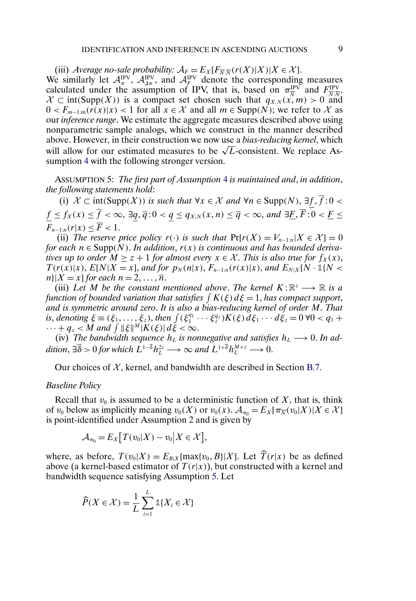<span id="page-8-0"></span>(iii) *Average no-sale probability:*  $A_F = E_X[F_{\overline{N} \cdot \overline{N}}(r(X)|X)|X \in \mathcal{X}]$ . We similarly let  $\mathcal{A}_\pi^{\text{IPV}}$ ,  $\mathcal{A}_{\Delta\pi}^{\text{IPV}}$ , and  $\mathcal{A}_F^{\text{IPV}}$  denote the corresponding measures calculated under the assumption of IPV, that is, based on  $\pi_{\overline{N}}^{\text{IPV}}$  and  $F_{\overline{N}:\overline{N}}^{\text{IPV}}$ .  $\mathcal{X} \subset \text{int}(\text{Supp}(X))$  is a compact set chosen such that  $q_{X,N}(\vec{x},m) > 0$  and  $0 < F_{m-1:m}(r(x)|x) < 1$  for all  $x \in \mathcal{X}$  and all  $m \in \text{Supp}(N)$ ; we refer to X as our *inference range*. We estimate the aggregate measures described above using nonparametric sample analogs, which we construct in the manner described above. However, in their construction we now use a *bias-reducing kernel*, which above. However, in their construction we now use a *blas-realicing kernet*, which<br>will allow for our estimated measures to be  $\sqrt{L}$ -consistent. We replace Assumption [4](#page-0-0) with the following stronger version.

ASSUMPTION 5: *The first part of Assumption* [4](#page-0-0) *is maintained and*, *in addition*, *the following statements hold*:

(i)  $X \subset \text{int}(\text{Supp}(X))$  *is such that*  $\forall x \in \mathcal{X}$  *and*  $\forall n \in \text{Supp}(N)$ ,  $\exists \underline{f}, f : 0$  <  $f\leq f_X(x)\leq f<\infty,$   $\exists q,\overline{q}\!:\!0< q\leq q_{X,N}(x,n)\leq \overline{q}<\infty,$  and  $\exists \underline{F},\overline{F}\!:\!0<\underline{F}\leq$  $F_{n-1:n}(r|x) \leq \overline{F} < 1.$ 

(ii) *The reserve price policy*  $r(\cdot)$  *is such that*  $Pr[r(X) = V_{n-1:n} | X \in \mathcal{X}] = 0$ *for each*  $n \in \text{Supp}(N)$ . *In addition, r(x) is continuous and has bounded derivatives up to order*  $M \geq z + 1$  *for almost every*  $x \in \mathcal{X}$ . *This is also true for*  $f_X(x)$ ,  $T(r(x)|x)$ ,  $E[N|X = x]$ , and for  $p_N(n|x)$ ,  $F_{n-1:n}(r(x)|x)$ , and  $E_{N|X}[N \cdot \mathbb{1}{N < x}]$  $n\vert X = x\vert$  *for each*  $n = 2, \ldots, \overline{n}$ .

(iii) Let M be the constant mentioned above. The kernel  $K: \mathbb{R}^z \longrightarrow \mathbb{R}$  is a function of bounded variation that satisfies  $\int K(\xi)\,d\xi$   $=$   $1,$  has compact support, *and is symmetric around zero*. *It is also a bias-reducing kernel of order* M. *That is*, *denoting*  $\xi = (\xi_1, ..., \xi_z)$ , *then*  $\int (\xi_1^{q_1} \cdots \xi_z^{q_z}) K(\xi) d\xi_1 \cdots d\xi_z = 0 \ \forall 0 < q_1 +$  $\cdots + q_z < M$  and  $\int \|\xi\|^{M} |K(\xi)| d\xi < \infty$ .

(iv) *The bandwidth sequence*  $h_L$  *is nonnegative and satisfies*  $h_L \longrightarrow 0$ . In addition,  $\exists \overline{\delta} > 0$  for which  $L^{1-\overline{\delta}} h_L^{2z} \longrightarrow \infty$  and  $L^{1+\overline{\delta}} h_L^{M+z} \longrightarrow 0$ .

Our choices of  $\mathcal{X}$ , kernel, and bandwidth are described in Section [B.7.](#page-16-0)

#### *Baseline Policy*

Recall that  $v_0$  is assumed to be a deterministic function of X, that is, think of  $v_0$  below as implicitly meaning  $v_0(X)$  or  $v_0(x)$ .  $\mathcal{A}_{\pi_0} = E_X[\pi_{\overline{N}}(v_0|X)|X \in \mathcal{X}]$ is point-identified under Assumption 2 and is given by

$$
\mathcal{A}_{\pi_0}=E_X[T(v_0|X)-v_0|X\in\mathcal{X}],
$$

where, as before,  $T(v_0|X) = E_{B|X}[\max\{v_0, B\}|X]$ . Let  $T(r|x)$  be as defined above (a kernel-based estimator of  $T(r|x)$ ), but constructed with a kernel and bandwidth sequence satisfying Assumption 5. Let

$$
\widehat{P}(X \in \mathcal{X}) = \frac{1}{L} \sum_{i=1}^{L} \mathbb{1}\{X_i \in \mathcal{X}\}
$$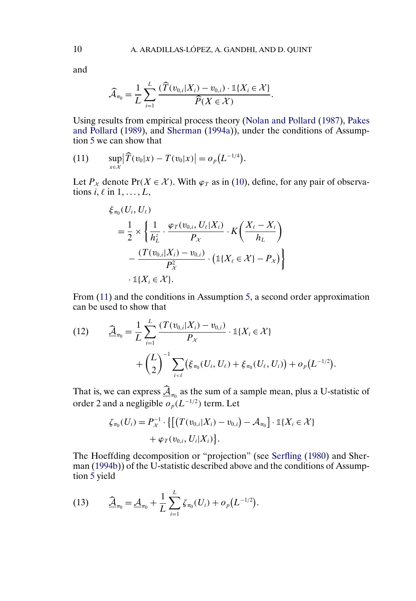and

$$
\widehat{\mathcal{A}}_{\pi_0} = \frac{1}{L} \sum_{i=1}^L \frac{(\widehat{T}(v_{0,i}|X_i) - v_{0,i}) \cdot \mathbb{1}\{X_i \in \mathcal{X}\}}{\widehat{P}(X \in \mathcal{X})}.
$$

Using results from empirical process theory [\(Nolan and Pollard](#page-22-0) [\(1987\)](#page-22-0), [Pakes](#page-22-0) [and Pollard](#page-22-0) [\(1989\)](#page-22-0), and [Sherman](#page-22-0) [\(1994a\)](#page-22-0)), under the conditions of Assumption [5](#page-8-0) we can show that

(11) 
$$
\sup_{x \in \mathcal{X}} |\widehat{T}(v_0|x) - T(v_0|x)| = o_p(L^{-1/4}).
$$

Let  $P_X$  denote Pr( $X \in \mathcal{X}$ ). With  $\varphi_T$  as in [\(10\)](#page-6-0), define, for any pair of observations  $i, \ell$  in  $1, \ldots, L$ ,

$$
\xi_{\pi_0}(U_i, U_\ell)
$$
\n
$$
= \frac{1}{2} \times \left\{ \frac{1}{h_L^2} \cdot \frac{\varphi_T(v_{0,i}, U_\ell | X_i)}{P_\mathcal{X}} \cdot K\left(\frac{X_\ell - X_i}{h_L}\right) - \frac{(T(v_{0,i} | X_i) - v_{0,i})}{P_\mathcal{X}^2} \cdot (\mathbb{1}\{X_\ell \in \mathcal{X}\} - P_\mathcal{X}) \right\}
$$
\n
$$
\cdot \mathbb{1}\{X_i \in \mathcal{X}\}.
$$

From (11) and the conditions in Assumption [5,](#page-8-0) a second order approximation can be used to show that

(12) 
$$
\widehat{\underline{A}}_{\pi_0} = \frac{1}{L} \sum_{i=1}^{L} \frac{(T(v_{0,i}|X_i) - v_{0,i})}{P_X} \cdot \mathbb{1}\{X_i \in \mathcal{X}\} + \left(\frac{L}{2}\right)^{-1} \sum_{i \leq \ell} (\xi_{\pi_0}(U_i, U_\ell) + \xi_{\pi_0}(U_\ell, U_i)) + o_p(L^{-1/2}).
$$

That is, we can express  $\hat{\mathcal{A}}_{\pi_0}$  as the sum of a sample mean, plus a U-statistic of order 2 and a negligible  $o_p(L^{-1/2})$  term. Let

$$
\zeta_{\pi_0}(U_i) = P_{\chi}^{-1} \cdot \{ \left[ \left( T(v_{0,i}|X_i) - v_{0,i} \right) - \mathcal{A}_{\pi_0} \right] \cdot \mathbb{1} \{ X_i \in \mathcal{X} \} + \varphi_T(v_{0,i}, U_i | X_i) \}.
$$

The Hoeffding decomposition or "projection" (see [Serfling](#page-22-0) [\(1980\)](#page-22-0) and Sherman [\(1994b\)](#page-22-0)) of the U-statistic described above and the conditions of Assumption [5](#page-8-0) yield

(13) 
$$
\widehat{\underline{A}}_{\pi_0} = \underline{A}_{\pi_0} + \frac{1}{L} \sum_{i=1}^L \zeta_{\pi_0}(U_i) + o_p(L^{-1/2}).
$$

<span id="page-9-0"></span>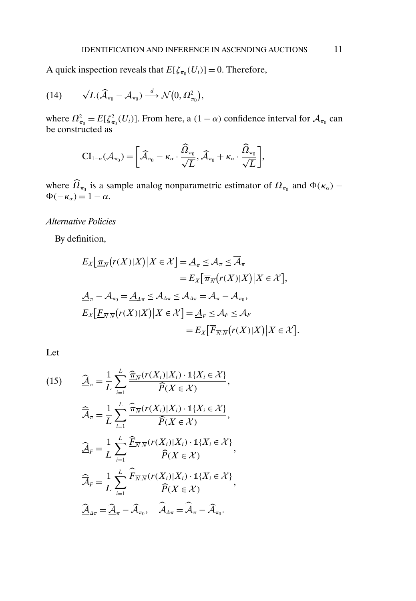<span id="page-10-0"></span>A quick inspection reveals that  $E[\zeta_{\pi_0}(U_i)] = 0$ . Therefore,

(14) 
$$
\sqrt{L}(\widehat{\mathcal{A}}_{\pi_0}-\mathcal{A}_{\pi_0})\stackrel{d}{\longrightarrow}\mathcal{N}(0,\Omega^2_{\pi_0}),
$$

where  $\Omega_{\pi_0}^2 = E[\zeta_{\pi_0}^2(U_i)]$ . From here, a  $(1 - \alpha)$  confidence interval for  $\mathcal{A}_{\pi_0}$  can be constructed as

$$
\mathrm{CI}_{1-\alpha}(\mathcal{A}_{\pi_0}) = \left[\widehat{\mathcal{A}}_{\pi_0} - \kappa_\alpha \cdot \frac{\widehat{\Omega}_{\pi_0}}{\sqrt{L}}, \widehat{\mathcal{A}}_{\pi_0} + \kappa_\alpha \cdot \frac{\widehat{\Omega}_{\pi_0}}{\sqrt{L}}\right],
$$

where  $\hat{\Omega}_{\pi_0}$  is a sample analog nonparametric estimator of  $\Omega_{\pi_0}$  and  $\Phi(\kappa_\alpha)$  –  $\Phi(-\kappa_{\alpha}) = 1 - \alpha.$ 

### *Alternative Policies*

By definition,

$$
E_X\left[\frac{\pi}{\sqrt{n}}(r(X)|X)\big|X\in\mathcal{X}\right] = \underline{\mathcal{A}}_\pi \leq \mathcal{A}_\pi \leq \overline{\mathcal{A}}_\pi
$$
  
\n
$$
= E_X\left[\overline{\pi}_{\overline{N}}(r(X)|X)\big|X\in\mathcal{X}\right],
$$
  
\n
$$
\underline{\mathcal{A}}_\pi - \mathcal{A}_{\pi_0} = \underline{\mathcal{A}}_{\Delta\pi} \leq \mathcal{A}_{\Delta\pi} \leq \overline{\mathcal{A}}_{\Delta\pi} = \overline{\mathcal{A}}_\pi - \mathcal{A}_{\pi_0},
$$
  
\n
$$
E_X\left[\underline{F}_{\overline{N}:\overline{N}}(r(X)|X)\big|X\in\mathcal{X}\right] = \underline{\mathcal{A}}_F \leq \mathcal{A}_F \leq \overline{\mathcal{A}}_F
$$
  
\n
$$
= E_X\left[\overline{F}_{\overline{N}:\overline{N}}(r(X)|X)\big|X\in\mathcal{X}\right].
$$

Let

(15) 
$$
\widehat{\underline{A}}_{\pi} = \frac{1}{L} \sum_{i=1}^{L} \frac{\widehat{\underline{\pi}}_{\overline{N}}(r(X_i)|X_i) \cdot \mathbb{1}\{X_i \in \mathcal{X}\}}{\widehat{P}(X \in \mathcal{X})},
$$

$$
\widehat{\overline{A}}_{\pi} = \frac{1}{L} \sum_{i=1}^{L} \frac{\widehat{\overline{\pi}}_{\overline{N}}(r(X_i)|X_i) \cdot \mathbb{1}\{X_i \in \mathcal{X}\}}{\widehat{P}(X \in \mathcal{X})},
$$

$$
\widehat{\underline{A}}_{F} = \frac{1}{L} \sum_{i=1}^{L} \frac{\widehat{E}_{\overline{N}: \overline{N}}(r(X_i)|X_i) \cdot \mathbb{1}\{X_i \in \mathcal{X}\}}{\widehat{P}(X \in \mathcal{X})},
$$

$$
\widehat{\overline{A}}_{F} = \frac{1}{L} \sum_{i=1}^{L} \frac{\widehat{\overline{F}}_{\overline{N}: \overline{N}}(r(X_i)|X_i) \cdot \mathbb{1}\{X_i \in \mathcal{X}\}}{\widehat{P}(X \in \mathcal{X})},
$$

$$
\widehat{\underline{A}}_{A\pi} = \widehat{\underline{A}}_{\pi} - \widehat{\underline{A}}_{\pi_0}, \quad \widehat{\overline{A}}_{A\pi} = \widehat{\overline{A}}_{\pi} - \widehat{\overline{A}}_{\pi_0}.
$$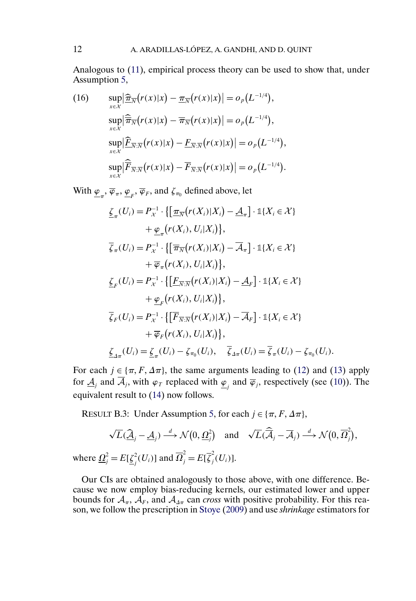<span id="page-11-0"></span>Analogous to [\(11\)](#page-9-0), empirical process theory can be used to show that, under Assumption [5,](#page-8-0)

(16) 
$$
\sup_{x \in \mathcal{X}} \left| \frac{\widehat{\pi}_{\overline{N}}(r(x)|x) - \underline{\pi}_{\overline{N}}(r(x)|x) \right| = o_p(L^{-1/4}),
$$

$$
\sup_{x \in \mathcal{X}} \left| \frac{\widehat{\pi}_{\overline{N}}(r(x)|x) - \overline{\pi}_{\overline{N}}(r(x)|x) \right| = o_p(L^{-1/4}),
$$

$$
\sup_{x \in \mathcal{X}} \left| \widehat{\underline{F}}_{\overline{N} \cdot \overline{N}}(r(x)|x) - \underline{F}_{\overline{N} \cdot \overline{N}}(r(x)|x) \right| = o_p(L^{-1/4}),
$$

$$
\sup_{x \in \mathcal{X}} \left| \widehat{\overline{F}}_{\overline{N} \cdot \overline{N}}(r(x)|x) - \overline{F}_{\overline{N} \cdot \overline{N}}(r(x)|x) \right| = o_p(L^{-1/4}).
$$

With  $\varphi_{\pi}, \overline{\varphi}_{\pi}, \varphi_{F}, \overline{\varphi}_{F}$ , and  $\zeta_{\pi_{0}}$  defined above, let

$$
\underline{\zeta}_{\pi}(U_{i}) = P_{\chi}^{-1} \cdot \{ \left[ \underline{\pi}_{\overline{N}}(r(X_{i})|X_{i}) - \underline{A}_{\pi} \right] \cdot \mathbb{1}\{X_{i} \in \mathcal{X}\} \n+ \underline{\varphi}_{\pi}\big(r(X_{i}), U_{i}|X_{i}\big) \},
$$
\n
$$
\overline{\zeta}_{\pi}(U_{i}) = P_{\chi}^{-1} \cdot \{ \left[ \overline{\pi}_{\overline{N}}(r(X_{i})|X_{i}) - \overline{A}_{\pi} \right] \cdot \mathbb{1}\{X_{i} \in \mathcal{X}\} \n+ \overline{\varphi}_{\pi}\big(r(X_{i}), U_{i}|X_{i}\big) \},
$$
\n
$$
\underline{\zeta}_{F}(U_{i}) = P_{\chi}^{-1} \cdot \{ \left[ \underline{F}_{\overline{N}:\overline{N}}(r(X_{i})|X_{i}) - \underline{A}_{F} \right] \cdot \mathbb{1}\{X_{i} \in \mathcal{X}\} \n+ \underline{\varphi}_{F}\big(r(X_{i}), U_{i}|X_{i}\big) \},
$$
\n
$$
\overline{\zeta}_{F}(U_{i}) = P_{\chi}^{-1} \cdot \{ \left[ \overline{F}_{\overline{N}:\overline{N}}(r(X_{i})|X_{i}) - \overline{A}_{F} \right] \cdot \mathbb{1}\{X_{i} \in \mathcal{X}\} \n+ \overline{\varphi}_{F}\big(r(X_{i}), U_{i}|X_{i}\big) \},
$$
\n
$$
\underline{\zeta}_{\pi\pi}(U_{i}) = \underline{\zeta}_{\pi}(U_{i}) - \zeta_{\pi_{0}}(U_{i}), \quad \overline{\zeta}_{\Delta\pi}(U_{i}) = \overline{\zeta}_{\pi}(U_{i}) - \zeta_{\pi_{0}}(U_{i}).
$$

For each  $j \in {\pi, F, \Delta \pi}$ , the same arguments leading to [\(12\)](#page-9-0) and [\(13\)](#page-9-0) apply for  $\underline{A}_j$  and  $A_j$ , with  $\varphi_T$  replaced with  $\underline{\varphi}_j$  and  $\overline{\varphi}_j$ , respectively (see [\(10\)](#page-6-0)). The equivalent result to [\(14\)](#page-10-0) now follows.

RESULT B.3: Under Assumption [5,](#page-8-0) for each  $j \in \{\pi, F, \Delta\pi\}$ ,

$$
\sqrt{L}(\widehat{\underline{A}}_j - \underline{A}_j) \stackrel{d}{\longrightarrow} \mathcal{N}\big(0, \underline{\Omega}_j^2\big) \text{ and } \sqrt{L}(\widehat{\overline{A}}_j - \overline{A}_j) \stackrel{d}{\longrightarrow} \mathcal{N}\big(0, \overline{\Omega}_j^2\big),
$$
  
where  $\underline{\Omega}_j^2 = E[\underline{\zeta}_j^2(U_i)]$  and  $\overline{\Omega}_j^2 = E[\overline{\zeta}_j^2(U_i)].$ 

Our CIs are obtained analogously to those above, with one difference. Because we now employ bias-reducing kernels, our estimated lower and upper bounds for  $A_{\pi}$ ,  $\overline{A}_F$ , and  $A_{\Delta\pi}$  can *cross* with positive probability. For this reason, we follow the prescription in [Stoye](#page-22-0) [\(2009\)](#page-22-0) and use *shrinkage* estimators for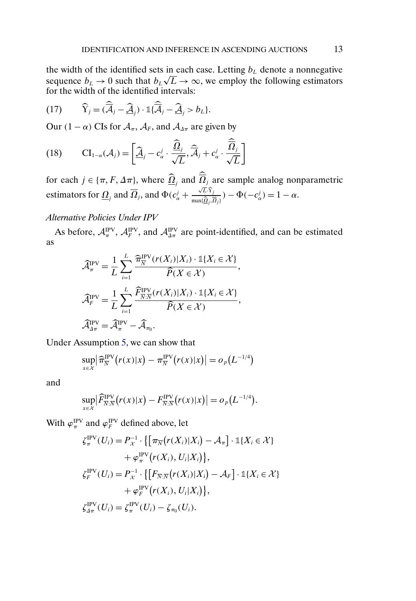<span id="page-12-0"></span>the width of the identified sets in each case. Letting  $b<sub>L</sub>$  denote a nonnegative sequence  $b_L \rightarrow 0$  such that  $b_L \sqrt{L} \rightarrow \infty$ , we employ the following estimators for the width of the identified intervals:

(17) 
$$
\widehat{Y}_j = (\widehat{\overline{\mathcal{A}}}_j - \widehat{\underline{\mathcal{A}}}_j) \cdot \mathbb{1} {\{\widehat{\overline{\mathcal{A}}}_j - \widehat{\underline{\mathcal{A}}}_j > b_L\}}.
$$

Our  $(1 - \alpha)$  CIs for  $A_{\pi}$ ,  $A_F$ , and  $A_{\Delta \pi}$  are given by

(18) 
$$
\mathbf{CI}_{1-\alpha}(\mathcal{A}_j) = \left[\underline{\mathcal{A}}_j - c_\alpha^j \cdot \frac{\underline{\widehat{\Omega}}_j}{\sqrt{L}}, \overline{\widehat{\mathcal{A}}}_j + c_\alpha^j \cdot \frac{\overline{\widehat{\Omega}}_j}{\sqrt{L}}\right]
$$

for each  $j \in {\pi, F, \Delta \pi}$ , where  $\Omega_j$  and  $\Omega_j$  are sample analog nonparametric estimators for  $\underline{\Omega}_j$  and  $\Omega_j$ , and  $\Phi(c^j_\alpha + \theta^j_\alpha)$  $\sqrt{L}\cdot\widehat{Y}_j$  $\frac{\sqrt{L}\cdot\mathbf{1}_j}{\max{\{\widehat{\Omega}_j,\widehat{\overline{\Omega}_j}\}}}$ ) –  $\Phi(-c^j_\alpha)=1-\alpha$ .

### *Alternative Policies Under IPV*

As before,  $\mathcal{A}_\pi^{\text{IPV}}$ ,  $\mathcal{A}_F^{\text{IPV}}$ , and  $\mathcal{A}_{\Delta\pi}^{\text{IPV}}$  are point-identified, and can be estimated as

$$
\widehat{\mathcal{A}}_{\pi}^{\text{PV}} = \frac{1}{L} \sum_{i=1}^{L} \frac{\widehat{\pi}_{\overline{N}}^{\text{IPV}}(r(X_i)|X_i) \cdot \mathbb{1}\{X_i \in \mathcal{X}\}}{\widehat{P}(X \in \mathcal{X})},
$$

$$
\widehat{\mathcal{A}}_{F}^{\text{PV}} = \frac{1}{L} \sum_{i=1}^{L} \frac{\widehat{F}_{\overline{N}:\overline{N}}^{\text{IPV}}(r(X_i)|X_i) \cdot \mathbb{1}\{X_i \in \mathcal{X}\}}{\widehat{P}(X \in \mathcal{X})},
$$

$$
\widehat{\mathcal{A}}_{\Delta \pi}^{\text{PV}} = \widehat{\mathcal{A}}_{\pi}^{\text{PV}} - \widehat{\mathcal{A}}_{\pi_0}.
$$

Under Assumption [5,](#page-8-0) we can show that

$$
\sup_{x \in \mathcal{X}} \left| \widehat{\pi}_{\overline{N}}^{\text{IPV}}(r(x)|x) - \pi_{\overline{N}}^{\text{IPV}}(r(x)|x) \right| = o_p(L^{-1/4})
$$

and

$$
\sup_{x \in \mathcal{X}} \left| \widehat{F}_{\overline{N}:\overline{N}}^{\rm IPV} \big( r(x) | x \big) - F_{\overline{N}:\overline{N}}^{\rm IPV} \big( r(x) | x \big) \right| = o_p \big( L^{-1/4} \big).
$$

With  $\varphi_{\pi}^{\text{IPV}}$  and  $\varphi_{F}^{\text{IPV}}$  defined above, let

$$
\zeta_{\pi}^{\text{IPV}}(U_i) = P_{\chi}^{-1} \cdot \left\{ \left[ \pi_{\overline{N}}(r(X_i)|X_i) - \mathcal{A}_{\pi} \right] \cdot \mathbb{1}\{X_i \in \mathcal{X}\} \right. \\ \left. + \varphi_{\pi}^{\text{IPV}}(r(X_i), U_i|X_i) \right\},
$$
\n
$$
\zeta_{F}^{\text{IPV}}(U_i) = P_{\chi}^{-1} \cdot \left\{ \left[ F_{\overline{N}:\overline{N}}(r(X_i)|X_i) - \mathcal{A}_F \right] \cdot \mathbb{1}\{X_i \in \mathcal{X}\} \right. \\ \left. + \varphi_{F}^{\text{IPV}}(r(X_i), U_i|X_i) \right\},
$$
\n
$$
\zeta_{\pi\pi}^{\text{IPV}}(U_i) = \zeta_{\pi}^{\text{IPV}}(U_i) - \zeta_{\pi_0}(U_i).
$$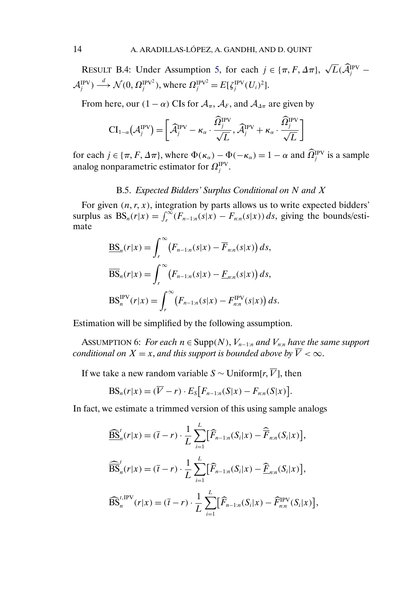<span id="page-13-0"></span>RESULT B.4: Under Assumption [5,](#page-8-0) for each  $j \in {\pi, F, \Delta \pi}$ , √  $L({\cal A}^{\rm IPv}_j$  –  $\mathcal{A}_j^{\text{IPV}}$ )  $\stackrel{d}{\longrightarrow} \mathcal{N}(0, \Omega_j^{\text{IPV}^2})$ , where  $\Omega_j^{\text{IPV}^2} = E[\zeta_j^{\text{IPV}}(U_i)^2]$ .

From here, our  $(1 - \alpha)$  CIs for  $\mathcal{A}_{\pi}$ ,  $\mathcal{A}_F$ , and  $\mathcal{A}_{\Delta \pi}$  are given by

$$
\text{CI}_{1-\alpha}(\mathcal{A}_j^{\text{IPV}}) = \left[\widehat{\mathcal{A}}_j^{\text{IPV}} - \kappa_\alpha \cdot \frac{\widehat{\Omega}_j^{\text{IPV}}}{\sqrt{L}}, \widehat{\mathcal{A}}_j^{\text{IPV}} + \kappa_\alpha \cdot \frac{\widehat{\Omega}_j^{\text{IPV}}}{\sqrt{L}}\right]
$$

for each  $j \in \{\pi, F, \Delta \pi\}$ , where  $\Phi(\kappa_\alpha) - \Phi(-\kappa_\alpha) = 1 - \alpha$  and  $\Omega_j^{\text{IPV}}$  is a sample analog nonparametric estimator for  $\Omega_j^{\rm IPv}$ .

### B.5. *Expected Bidders' Surplus Conditional on* N *and* X

For given  $(n, r, x)$ , integration by parts allows us to write expected bidders' surplus as  $BS_n(r|x) = \int_r^{\infty} (F_{n-1:n}(s|x) - F_{n:n}(s|x)) ds$ , giving the bounds/estimate

$$
\underline{BS}_n(r|x) = \int_r^{\infty} (F_{n-1:n}(s|x) - \overline{F}_{n:n}(s|x)) ds,
$$
  

$$
\overline{BS}_n(r|x) = \int_r^{\infty} (F_{n-1:n}(s|x) - \underline{F}_{n:n}(s|x)) ds,
$$
  

$$
BS_n^{\text{PV}}(r|x) = \int_r^{\infty} (F_{n-1:n}(s|x) - F_{n:n}^{\text{PV}}(s|x)) ds.
$$

Estimation will be simplified by the following assumption.

ASSUMPTION 6: *For each*  $n \in \text{Supp}(N)$ ,  $V_{n-1:n}$  *and*  $V_{n:n}$  *have the same support conditional on*  $X = x$ , *and this support is bounded above by*  $\overline{V} < \infty$ .

 $\ddot{\phantom{0}}$ 

If we take a new random variable  $S \sim \text{Uniform}[r, \overline{V}]$ , then

$$
BS_n(r|x) = (\overline{V} - r) \cdot E_S[F_{n-1:n}(S|x) - F_{n:n}(S|x)]
$$

In fact, we estimate a trimmed version of this using sample analogs

$$
\begin{aligned}\n\widehat{\text{BS}}_{n}^{t}(r|x) &= (\overline{t} - r) \cdot \frac{1}{L} \sum_{i=1}^{L} [\widehat{F}_{n-1:n}(S_{i}|x) - \widehat{\overline{F}}_{n:n}(S_{i}|x)], \\
\widehat{\text{BS}}_{n}^{t}(r|x) &= (\overline{t} - r) \cdot \frac{1}{L} \sum_{i=1}^{L} [\widehat{F}_{n-1:n}(S_{i}|x) - \widehat{\underline{F}}_{n:n}(S_{i}|x)], \\
\widehat{\text{BS}}_{n}^{t,\text{IPV}}(r|x) &= (\overline{t} - r) \cdot \frac{1}{L} \sum_{i=1}^{L} [\widehat{F}_{n-1:n}(S_{i}|x) - \widehat{F}_{n:n}^{\text{IPV}}(S_{i}|x)],\n\end{aligned}
$$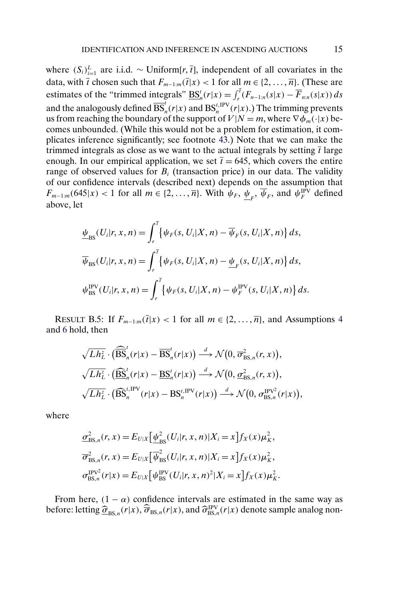where  $(S_i)_{i=1}^L$  are i.i.d. ~ Uniform[ $r, \bar{t}$ ], independent of all covariates in the data, with  $\bar{t}$  chosen such that  $F_{m-1:m}(\bar{t}|x) < 1$  for all  $m \in \{2, \ldots, \bar{n}\}.$  (These are estimates of the "trimmed integrals"  $\underline{BS}_n^t(r|x) = \int_r^{\overline{t}} (F_{n-1:n}(s|x) - \overline{F}_{n:n}(s|x)) ds$ and the analogously defined  $\overline{\mathrm{BS}}_n^t(r|x)$  and  $\mathrm{BS}_n^{t,\mathrm{IPV}}(r|x)$ .) The trimming prevents us from reaching the boundary of the support of  $V|N = m$ , where  $\nabla \phi_m(\cdot|x)$  becomes unbounded. (While this would not be a problem for estimation, it complicates inference significantly; see footnote [43.](#page-1-0)) Note that we can make the trimmed integrals as close as we want to the actual integrals by setting  $\bar{t}$  large enough. In our empirical application, we set  $\bar{t} = 645$ , which covers the entire range of observed values for  $B_i$  (transaction price) in our data. The validity of our confidence intervals (described next) depends on the assumption that  $F_{m-1:m}(645|x) < 1$  for all  $m \in \{2, ..., \overline{n}\}$ . With  $\psi_F$ ,  $\psi_F$ ,  $\overline{\psi}_F$ , and  $\psi_F^{\text{PV}}$  defined above, let

$$
\underline{\psi}_{\text{BS}}(U_i|r, x, n) = \int_r^{\overline{t}} \left\{ \psi_F(s, U_i|X, n) - \overline{\psi}_F(s, U_i|X, n) \right\} ds,
$$
  

$$
\overline{\psi}_{\text{BS}}(U_i|r, x, n) = \int_r^{\overline{t}} \left\{ \psi_F(s, U_i|X, n) - \underline{\psi}_F(s, U_i|X, n) \right\} ds,
$$
  

$$
\psi_{\text{BS}}^{\text{IPV}}(U_i|r, x, n) = \int_r^{\overline{t}} \left\{ \psi_F(s, U_i|X, n) - \psi_F^{\text{IPV}}(s, U_i|X, n) \right\} ds.
$$

RESULT B.5: If  $F_{m-1:m}(\overline{t}|x) < 1$  for all  $m \in \{2, \ldots, \overline{n}\}\$ , and Assumptions [4](#page-0-0) and [6](#page-13-0) hold, then

$$
\sqrt{Lh_L^z} \cdot (\widehat{\overline{BS}}_n^t(r|x) - \overline{BS}_n^t(r|x)) \stackrel{d}{\longrightarrow} \mathcal{N}\big(0, \overline{\sigma}_{BS,n}^2(r,x)\big),
$$
  

$$
\sqrt{Lh_L^z} \cdot (\widehat{\underline{BS}}_n^t(r|x) - \underline{BS}_n^t(r|x)) \stackrel{d}{\longrightarrow} \mathcal{N}\big(0, \underline{\sigma}_{BS,n}^2(r,x)\big),
$$
  

$$
\sqrt{Lh_L^z} \cdot (\widehat{\overline{BS}}_n^{t,\text{PV}}(r|x) - \overline{BS}_n^{t,\text{PV}}(r|x)) \stackrel{d}{\longrightarrow} \mathcal{N}\big(0, \sigma_{BS,n}^{\text{PV2}}(r|x)\big),
$$

where

$$
\underline{\sigma}_{\text{BS},n}^{2}(r, x) = E_{U|X} \left[ \underline{\psi}_{\text{BS}}^{2}(U_{i}|r, x, n) | X_{i} = x \right] f_{X}(x) \mu_{K}^{2},
$$
\n
$$
\overline{\sigma}_{\text{BS},n}^{2}(r, x) = E_{U|X} \left[ \overline{\psi}_{\text{BS}}^{2}(U_{i}|r, x, n) | X_{i} = x \right] f_{X}(x) \mu_{K}^{2},
$$
\n
$$
\sigma_{\text{BS},n}^{\text{IPV}2}(r|x) = E_{U|X} \left[ \psi_{\text{BS}}^{\text{IPV}}(U_{i}|r, x, n)^{2} | X_{i} = x \right] f_{X}(x) \mu_{K}^{2}.
$$

From here,  $(1 - \alpha)$  confidence intervals are estimated in the same way as before: letting  $\widehat{\sigma}_{BS,n}(r|x), \widehat{\overline{\sigma}}_{BS,n}(r|x)$ , and  $\widehat{\sigma}_{BS,n}^{IPV}(r|x)$  denote sample analog non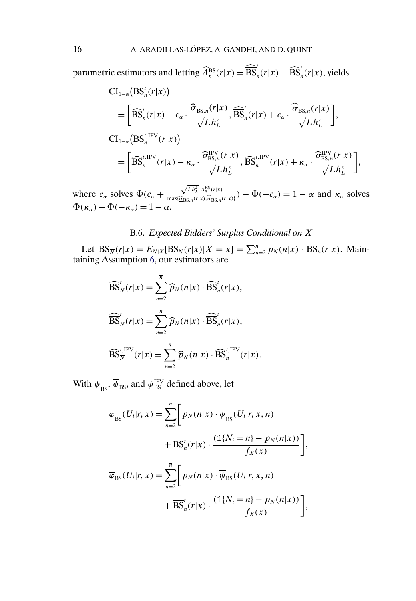parametric estimators and letting  $\widehat{A}_n^{\rm BS}(r|x)=\widehat{\overline{\rm BS}}_n^t(r|x)-\widehat{\underline{\rm BS}}_n^t(r|x),$  yields

$$
CI_{1-\alpha}(BS_n'(r|x))
$$
  
=  $\left[\frac{\widehat{BS}_n'(r|x) - c_{\alpha} \cdot \frac{\widehat{\sigma}_{BS,n}(r|x)}{\sqrt{Lh_L^2}}, \widehat{BS}_n'(r|x) + c_{\alpha} \cdot \frac{\widehat{\overline{\sigma}}_{BS,n}(r|x)}{\sqrt{Lh_L^2}}\right],$   

$$
CI_{1-\alpha}(BS_n^{t,\text{IPV}}(r|x))
$$
  
=  $\left[\widehat{BS}_n^{t,\text{IPV}}(r|x) - \kappa_{\alpha} \cdot \frac{\widehat{\sigma}_{BS,n}^{IPV}(r|x)}{\sqrt{Lh_L^2}}, \widehat{BS}_n^{t,\text{IPV}}(r|x) + \kappa_{\alpha} \cdot \frac{\widehat{\sigma}_{BS,n}^{IPV}(r|x)}{\sqrt{Lh_L^2}}\right],$ 

where  $c_{\alpha}$  solves  $\Phi(c_{\alpha} +$  $\sqrt{Lh_L^z} \cdot \widehat{\Lambda}_n^{\rm BS}(r|x)$  $\frac{\sqrt{Ln_L}\gamma_{n_R}(r|x)}{\max(\hat{\sigma}_{BS,n}(r|x),\hat{\sigma}_{BS,n}(r|x))}$ ) –  $\Phi(-c_\alpha) = 1 - \alpha$  and  $\kappa_\alpha$  solves  $\Phi(\kappa_{\alpha}) - \Phi(-\kappa_{\alpha}) = 1 - \alpha.$ 

### B.6. *Expected Bidders' Surplus Conditional on* X

Let  $BS_{\overline{N}}(r|x) = E_{N|X}[BS_N(r|x)|X = x] = \sum_{n=2}^{\overline{n}} p_N(n|x) \cdot BS_n(r|x)$ . Maintaining Assumption [6,](#page-13-0) our estimators are

$$
\begin{aligned}\n\widehat{\underline{\mathrm{BS}}}^t_N(r|x) &= \sum_{n=2}^{\overline{n}} \widehat{p}_N(n|x) \cdot \widehat{\underline{\mathrm{BS}}}^t_n(r|x), \\
\widehat{\overline{\mathrm{BS}}}^t_N(r|x) &= \sum_{n=2}^{\overline{n}} \widehat{p}_N(n|x) \cdot \widehat{\overline{\mathrm{BS}}}^t_n(r|x), \\
\widehat{\mathrm{BS}}^t_N(r|x) &= \sum_{n=2}^{\overline{n}} \widehat{p}_N(n|x) \cdot \widehat{\mathrm{BS}}^t_n \mathrm{IPV}(r|x).\n\end{aligned}
$$

With  $\frac{\psi}{\text{ps}}, \overline{\psi}_{\text{BS}}$ , and  $\psi_{\text{BS}}^{\text{IPV}}$  defined above, let

$$
\underline{\varphi}_{\rm BS}(U_i|r, x) = \sum_{n=2}^{\overline{n}} \Bigg[ p_N(n|x) \cdot \underline{\psi}_{\rm BS}(U_i|r, x, n) + \underline{\rm BS}_n^t(r|x) \cdot \frac{(\mathbb{1}\{N_i = n\} - p_N(n|x))}{f_X(x)} \Bigg],
$$
  

$$
\overline{\varphi}_{\rm BS}(U_i|r, x) = \sum_{n=2}^{\overline{n}} \Bigg[ p_N(n|x) \cdot \overline{\psi}_{\rm BS}(U_i|r, x, n) + \overline{\rm BS}_n^t(r|x) \cdot \frac{(\mathbb{1}\{N_i = n\} - p_N(n|x))}{f_X(x)} \Bigg],
$$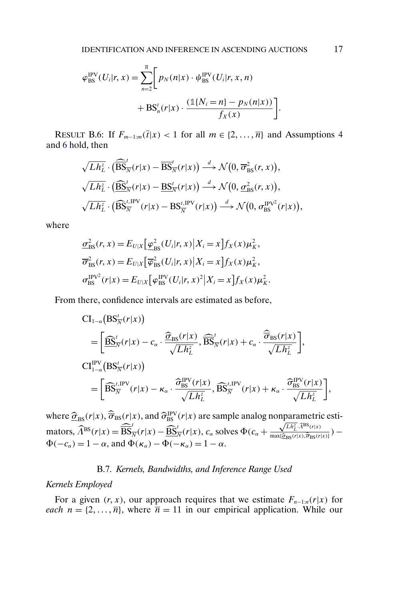<span id="page-16-0"></span>
$$
\varphi_{\text{BS}}^{\text{IPV}}(U_i|r, x) = \sum_{n=2}^{\overline{n}} \bigg[ p_N(n|x) \cdot \psi_{\text{BS}}^{\text{IPV}}(U_i|r, x, n) + BS_n^t(r|x) \cdot \frac{(\mathbb{1}\{N_i = n\} - p_N(n|x))}{f_X(x)} \bigg]
$$

RESULT B.6: If  $F_{m-1:m}(\overline{t}|x) < 1$  for all  $m \in \{2, ..., \overline{n}\}\$  and Assumptions [4](#page-0-0) and [6](#page-13-0) hold, then

$$
\sqrt{Lh_L^z} \cdot (\widehat{\overline{\mathrm{BS}}}^t_{\overline{N}}(r|x) - \overline{\mathrm{BS}}^t_{\overline{N}}(r|x)) \overset{d}{\longrightarrow} \mathcal{N}\big(0, \overline{\sigma}_{\mathrm{BS}}^2(r,x)\big),\n\sqrt{Lh_L^z} \cdot (\widehat{\underline{\mathrm{BS}}}^t_{\overline{N}}(r|x) - \underline{\mathrm{BS}}^t_{\overline{N}}(r|x)) \overset{d}{\longrightarrow} \mathcal{N}\big(0, \underline{\sigma}_{\mathrm{BS}}^2(r,x)\big),\n\sqrt{Lh_L^z} \cdot (\widehat{\mathrm{BS}}^{\iota,\mathrm{IPV}}_{\overline{N}}(r|x) - \mathrm{BS}^{\iota,\mathrm{IPV}}_{\overline{N}}(r|x)) \overset{d}{\longrightarrow} \mathcal{N}\big(0, \sigma_{\mathrm{BS}}^{\mathrm{IPV}^2}(r|x)\big),
$$

where

$$
\underline{\sigma}_{BS}^{2}(r, x) = E_{U|X} \left[ \underline{\varphi}_{BS}^{2}(U_{i}|r, x) | X_{i} = x \right] f_{X}(x) \mu_{K}^{2},
$$
\n
$$
\overline{\sigma}_{BS}^{2}(r, x) = E_{U|X} \left[ \overline{\varphi}_{BS}^{2}(U_{i}|r, x) | X_{i} = x \right] f_{X}(x) \mu_{K}^{2},
$$
\n
$$
\sigma_{BS}^{\text{IPV}2}(r|x) = E_{U|X} \left[ \varphi_{BS}^{\text{IPV}}(U_{i}|r, x)^{2} | X_{i} = x \right] f_{X}(x) \mu_{K}^{2}.
$$

From there, confidence intervals are estimated as before,

$$
CI_{1-\alpha}\left(BS_{\overline{N}}^{t}(r|x)\right)
$$
\n
$$
= \left[ \frac{\widehat{BS}_{\overline{N}}^{t}(r|x) - c_{\alpha} \cdot \frac{\widehat{\sigma}_{BS}(r|x)}{\sqrt{Lh_{L}^{2}}}, \frac{\widehat{\sigma}_{\overline{S}}^{t}(r|x) + c_{\alpha} \cdot \frac{\widehat{\sigma}_{BS}(r|x)}{\sqrt{Lh_{L}^{2}}} \right],
$$
\n
$$
CI_{1-\alpha}^{IPV}\left(BS_{\overline{N}}^{t}(r|x)\right)
$$
\n
$$
= \left[ \widehat{BS}_{\overline{N}}^{t,IPV}(r|x) - \kappa_{\alpha} \cdot \frac{\widehat{\sigma}_{BS}^{IPV}(r|x)}{\sqrt{Lh_{L}^{2}}}, \widehat{BS}_{\overline{N}}^{t,IPV}(r|x) + \kappa_{\alpha} \cdot \frac{\widehat{\sigma}_{BS}^{IPV}(r|x)}{\sqrt{Lh_{L}^{2}}} \right],
$$

where  $\hat{\sigma}_{BS}(r|x)$ ,  $\hat{\sigma}_{BS}(r|x)$ , and  $\hat{\sigma}_{BS}^{PV}(r|x)$  are sample analog nonparametric estimators,  $\widehat{\Lambda}^{\text{BS}}(r|x) = \widehat{\overline{\text{BS}}}_{\overline{N}}^t(r|x) - \widehat{\underline{\text{BS}}}_{\overline{N}}^t(r|x), c_\alpha$  solves  $\Phi(c_\alpha +$ mparametri $\sqrt{L h_L^2} \cdot \widehat{\Lambda}^{\text{BS}}(r|x)$  $\frac{\sqrt{Ln_L^{T}}T^{(1)}(r|x)}{\max{\lbrace \hat{\sigma}_{BS}(r|x), \hat{\sigma}_{BS}(r|x) \rbrace}}$ ) –  $\Phi(-c_{\alpha}) = 1 - \alpha$ , and  $\Phi(\kappa_{\alpha}) - \overline{\Phi(-\kappa_{\alpha})} = 1 - \alpha$ .

### B.7. *Kernels, Bandwidths, and Inference Range Used*

#### *Kernels Employed*

For a given  $(r, x)$ , our approach requires that we estimate  $F_{n-1:n}(r|x)$  for *each*  $n = \{2, ..., \overline{n}\}$ , where  $\overline{n} = 11$  in our empirical application. While our

.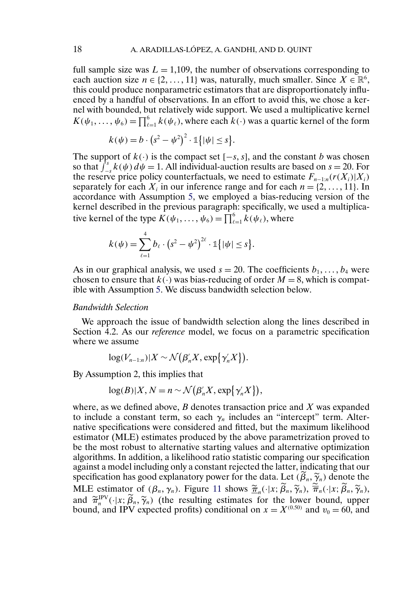full sample size was  $L = 1,109$ , the number of observations corresponding to each auction size  $n \in \{2, ..., 11\}$  was, naturally, much smaller. Since  $X \in \mathbb{R}^6$ , this could produce nonparametric estimators that are disproportionately influenced by a handful of observations. In an effort to avoid this, we chose a kernel with bounded, but relatively wide support. We used a multiplicative kernel  $K(\psi_1,\ldots,\psi_6) = \prod_{\ell=1}^6 k(\psi_\ell)$ , where each  $k(\cdot)$  was a quartic kernel of the form

$$
k(\psi) = b \cdot (s^2 - \psi^2)^2 \cdot \mathbb{1}\{|\psi| \leq s\}.
$$

The support of  $k(\cdot)$  is the compact set  $[-s, s]$ , and the constant b was chosen so that  $\int_{-s}^{s} k(\psi) d\psi = 1$ . All individual-auction results are based on  $s = 20$ . For the reserve price policy counterfactuals, we need to estimate  $F_{n-1:n}(r(X_i)|X_i)$ separately for each  $X_i$  in our inference range and for each  $n = \{2, \ldots, 11\}$ . In accordance with Assumption [5,](#page-8-0) we employed a bias-reducing version of the kernel described in the previous paragraph: specifically, we used a multiplicative kernel of the type  $K(\psi_1, \dots, \psi_6) = \prod_{\ell=1}^6 k(\psi_\ell)$ , where

$$
k(\psi) = \sum_{\ell=1}^4 b_\ell \cdot (s^2 - \psi^2)^{2\ell} \cdot \mathbb{1}\{|\psi| \leq s\}.
$$

As in our graphical analysis, we used  $s = 20$ . The coefficients  $b_1, \ldots, b_4$  were chosen to ensure that  $k(.)$  was bias-reducing of order  $M = 8$ , which is compatible with Assumption [5.](#page-8-0) We discuss bandwidth selection below.

#### *Bandwidth Selection*

We approach the issue of bandwidth selection along the lines described in Section 4.2. As our *reference* model, we focus on a parametric specification where we assume

$$
\log(V_{n-1:n})|X \sim \mathcal{N}(\beta'_n X, \exp\{\gamma'_n X\}).
$$

By Assumption 2, this implies that

$$
\log(B)|X, N = n \sim \mathcal{N}(\beta'_n X, \exp\{\gamma'_n X\}),
$$

where, as we defined above,  $B$  denotes transaction price and  $X$  was expanded to include a constant term, so each  $\gamma_n$  includes an "intercept" term. Alternative specifications were considered and fitted, but the maximum likelihood estimator (MLE) estimates produced by the above parametrization proved to be the most robust to alternative starting values and alternative optimization algorithms. In addition, a likelihood ratio statistic comparing our specification against a model including only a constant rejected the latter, indicating that our specification has good explanatory power for the data. Let  $(\beta_n, \widetilde{\gamma}_n)$  denote the MLE estimator of  $(\beta_n, \gamma_n)$ . Figure [11](#page-18-0) shows  $\frac{\tilde{\pi}_n}{\tilde{\pi}_n}(\cdot|x; \beta_n, \tilde{\gamma}_n)$ ,  $\overline{\pi}_n(\cdot|x; \beta_n, \tilde{\gamma}_n)$ , and  $\tilde{\pi}_n^{\text{IPV}}(\cdot|x; \hat{\beta}_n, \tilde{\gamma}_n)$  (the resulting estimates for the lower bound, upper<br>bound and IBV sympated profits) conditional on  $x = Y^{(0.50)}$  and  $y = 60$  and bound, and IPV expected profits) conditional on  $x = X^{(0.50)}$  and  $v_0 = 60$ , and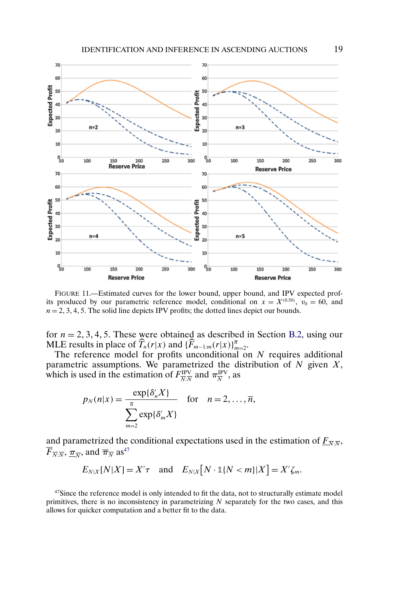<span id="page-18-0"></span>

FIGURE 11.—Estimated curves for the lower bound, upper bound, and IPV expected profits produced by our parametric reference model, conditional on  $x = X^{(0.50)}$ ,  $v_0 = 60$ , and  $n = 2, 3, 4, 5$ . The solid line depicts IPV profits; the dotted lines depict our bounds.

for  $n = 2, 3, 4, 5$ . These were obtained as described in Section [B.2,](#page-1-0) using our MLE results in place of  $\widehat{T}_n(r|x)$  and  $\{\widehat{F}_{m-1:m}(r|x)\}_{m=2}^{\overline{n}}$ .

The reference model for profits unconditional on  $N$  requires additional parametric assumptions. We parametrized the distribution of  $N$  given  $X$ , which is used in the estimation of  $F^{\text{IPV}}_{\overline{N}:\overline{N}}$  and  $\pi^{\text{IPV}}_{\overline{N}}$ , as

$$
p_N(n|x) = \frac{\exp{\{\delta'_n X\}}}{\sum_{m=2}^{\overline{n}} \exp{\{\delta'_m X\}}}
$$
 for  $n = 2, ..., \overline{n}$ ,

and parametrized the conditional expectations used in the estimation of  $\underline{F}_{\overline{N}}$ ,  $\overline{F}_{\overline{N}:\overline{N}}, \overline{\pi}_{\overline{N}}$ , and  $\overline{\pi}_{\overline{N}}$  as<sup>47</sup>

$$
E_{N|X}[N|X] = X'\tau \quad \text{and} \quad E_{N|X}[N \cdot \mathbb{1}\{N < m\}|X] = X'\zeta_m.
$$

 $47$ Since the reference model is only intended to fit the data, not to structurally estimate model primitives, there is no inconsistency in parametrizing  $N$  separately for the two cases, and this allows for quicker computation and a better fit to the data.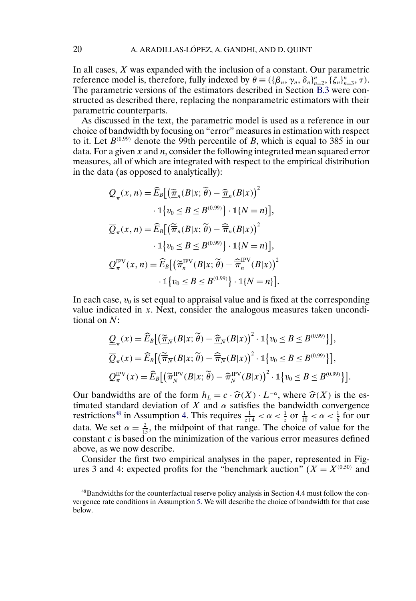In all cases,  $X$  was expanded with the inclusion of a constant. Our parametric reference model is, therefore, fully indexed by  $\theta \equiv (\{\beta_n, \gamma_n, \delta_n\}_{n=2}^{\overline{n}}, \{\zeta_n\}_{n=3}^{\overline{n}}, \tau)$ . The parametric versions of the estimators described in Section [B.3](#page-4-0) were constructed as described there, replacing the nonparametric estimators with their parametric counterparts.

As discussed in the text, the parametric model is used as a reference in our choice of bandwidth by focusing on "error" measures in estimation with respect to it. Let  $B^{(0.99)}$  denote the 99th percentile of B, which is equal to 385 in our data. For a given  $x$  and  $n$ , consider the following integrated mean squared error measures, all of which are integrated with respect to the empirical distribution in the data (as opposed to analytically):

$$
\mathcal{Q}_{\pi}(x, n) = \widehat{E}_B \big[ \big( \widetilde{\underline{\pi}}_n(B|x; \widetilde{\theta}) - \widehat{\underline{\pi}}_n(B|x) \big)^2
$$

$$
\cdot \mathbb{1} \big\{ v_0 \le B \le B^{(0.99)} \big\} \cdot \mathbb{1} \{ N = n \} \big],
$$

$$
\overline{\mathcal{Q}}_{\pi}(x, n) = \widehat{E}_B \big[ \big( \widetilde{\overline{\pi}}_n(B|x; \widetilde{\theta}) - \widehat{\overline{\pi}}_n(B|x) \big)^2
$$

$$
\cdot \mathbb{1} \big\{ v_0 \le B \le B^{(0.99)} \big\} \cdot \mathbb{1} \{ N = n \} \big],
$$

$$
\mathcal{Q}_{\pi}^{\text{PV}}(x, n) = \widehat{E}_B \big[ \big( \widetilde{\pi}_n^{\text{IPV}}(B|x; \widetilde{\theta}) - \widehat{\overline{\pi}}_n^{\text{IPV}}(B|x) \big)^2
$$

$$
\cdot \mathbb{1} \big\{ v_0 \le B \le B^{(0.99)} \big\} \cdot \mathbb{1} \{ N = n \} \big].
$$

In each case,  $v_0$  is set equal to appraisal value and is fixed at the corresponding value indicated in  $x$ . Next, consider the analogous measures taken unconditional on N:

$$
\underline{Q}_{\pi}(x) = \widehat{E}_B\big[\big(\underline{\widetilde{\pi}}_{\overline{N}}(B|x;\widetilde{\theta}) - \underline{\widehat{\pi}}_{\overline{N}}(B|x)\big)^2 \cdot \mathbb{1}\big\{v_0 \le B \le B^{(0.99)}\big\}\big],
$$
  

$$
\overline{Q}_{\pi}(x) = \widehat{E}_B\big[\big(\overline{\widetilde{\pi}}_{\overline{N}}(B|x;\widetilde{\theta}) - \overline{\widehat{\pi}}_{\overline{N}}(B|x)\big)^2 \cdot \mathbb{1}\big\{v_0 \le B \le B^{(0.99)}\big\}\big],
$$
  

$$
\underline{Q}_{\pi}^{\text{IPV}}(x) = \widehat{E}_B\big[\big(\widetilde{\pi}_{\overline{N}}^{\text{IPV}}(B|x;\widetilde{\theta}) - \widehat{\pi}_{\overline{N}}^{\text{IPV}}(B|x)\big)^2 \cdot \mathbb{1}\big\{v_0 \le B \le B^{(0.99)}\big\}\big].
$$

Our bandwidths are of the form  $h_L = c \cdot \hat{\sigma}(X) \cdot L^{-\alpha}$ , where  $\hat{\sigma}(X)$  is the estimated standard deviation of X and  $\alpha$  satisfies the bandwidth convergence restrictions<sup>48</sup> in Assumption [4.](#page-0-0) This requires  $\frac{1}{z+4} < \alpha < \frac{1}{z}$  or  $\frac{1}{10} < \alpha < \frac{1}{6}$  for our data. We set  $\alpha = \frac{2}{15}$ , the midpoint of that range. The choice of value for the constant  $c$  is based on the minimization of the various error measures defined above, as we now describe.

Consider the first two empirical analyses in the paper, represented in Figures 3 and 4: expected profits for the "benchmark auction"  $(X = X^{(0.50)}$  and

<sup>48</sup>Bandwidths for the counterfactual reserve policy analysis in Section 4.4 must follow the convergence rate conditions in Assumption [5.](#page-8-0) We will describe the choice of bandwidth for that case below.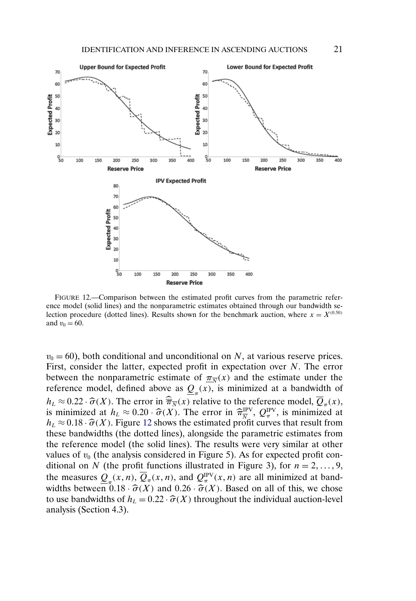

FIGURE 12.—Comparison between the estimated profit curves from the parametric reference model (solid lines) and the nonparametric estimates obtained through our bandwidth selection procedure (dotted lines). Results shown for the benchmark auction, where  $x = X^{(0.50)}$ and  $v_0 = 60$ .

 $v_0 = 60$ ), both conditional and unconditional on N, at various reserve prices. First, consider the latter, expected profit in expectation over N. The error between the nonparametric estimate of  $\pi_{\overline{x}}(x)$  and the estimate under the reference model, defined above as  $Q(x)$ , is minimized at a bandwidth of  $h_L \approx 0.22 \cdot \hat{\sigma}(X)$ . The error in  $\hat{\overline{\pi}}_{\overline{N}}(x)$  relative to the reference model,  $\overline{Q}_{\pi}(x)$ , is minimized at  $h_L \approx 0.20 \cdot \hat{\sigma}(X)$ . The error in  $\hat{\pi}_{\overline{N}}^{\text{IPV}}$ ,  $Q_{\overline{N}}^{\text{IPV}}$ , is minimized at  $l = 0.018$ .  $\hat{\sigma}(X)$ . Figure 12 shows the estimated angle summa that result from  $h_L \approx 0.18 \cdot \hat{\sigma}(X)$ . Figure 12 shows the estimated profit curves that result from these bandwidths (the dotted lines), alongside the parametric estimates from the reference model (the solid lines). The results were very similar at other values of  $v_0$  (the analysis considered in Figure 5). As for expected profit conditional on N (the profit functions illustrated in Figure 3), for  $n = 2, \ldots, 9$ , the measures  $Q_{\pi}(x, n), Q_{\pi}(x, n)$ , and  $Q_{\pi}^{\text{IPV}}(x, n)$  are all minimized at bandwidths between  $0.18 \cdot \hat{\sigma}(X)$  and  $0.26 \cdot \hat{\sigma}(X)$ . Based on all of this, we chose to use bandwidths of  $h_L = 0.22 \cdot \hat{\sigma}(X)$  throughout the individual auction-level analysis (Section 4.3).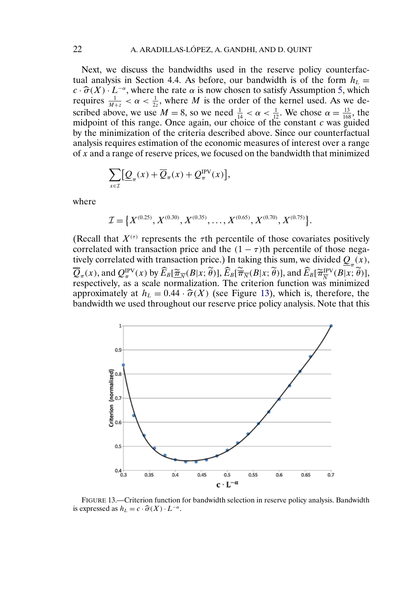Next, we discuss the bandwidths used in the reserve policy counterfactual analysis in Section 4.4. As before, our bandwidth is of the form  $h<sub>L</sub> =$  $c \cdot \hat{\sigma}(X) \cdot L^{-\alpha}$ , where the rate  $\alpha$  is now chosen to satisfy Assumption [5,](#page-8-0) which requires  $\frac{1}{M+z} < \alpha < \frac{1}{2z}$ , where M is the order of the kernel used. As we described above, we use  $M = 8$ , so we need  $\frac{1}{14} < \alpha < \frac{1}{12}$ . We chose  $\alpha = \frac{13}{168}$ , the midpoint of this range. Once again, our choice of the constant  $c$  was guided by the minimization of the criteria described above. Since our counterfactual analysis requires estimation of the economic measures of interest over a range of x and a range of reserve prices, we focused on the bandwidth that minimized

$$
\sum_{x \in \mathcal{I}} \left[ \underline{Q}_{\pi}(x) + \overline{Q}_{\pi}(x) + Q_{\pi}^{\text{IPV}}(x) \right],
$$

where

$$
\mathcal{I} = \left\{ X^{(0.25)}, X^{(0.30)}, X^{(0.35)}, \ldots, X^{(0.65)}, X^{(0.70)}, X^{(0.75)} \right\}.
$$

(Recall that  $X^{(\tau)}$  represents the  $\tau$ th percentile of those covariates positively correlated with transaction price and the  $(1 - \tau)$ th percentile of those negatively correlated with transaction price.) In taking this sum, we divided  $Q(x)$ ,  $\overline{Q}_{\pi}(x)$ , and  $Q_{\pi}^{\text{IPV}}(x)$  by  $\widehat{E}_B[\widetilde{\pi}_N(B|x;\theta)], \widehat{E}_B[\widetilde{\pi}_N(B|x;\theta)],$  and  $\widehat{E}_B[\widetilde{\pi}_N^{\text{IPV}}(B|x;\theta)],$ respectively, as a scale normalization. The criterion function was minimized approximately at  $h<sub>L</sub> = 0.44 \cdot \hat{\sigma}(X)$  (see Figure 13), which is, therefore, the bandwidth we used throughout our reserve price policy analysis. Note that this



FIGURE 13.—Criterion function for bandwidth selection in reserve policy analysis. Bandwidth is expressed as  $h_L = c \cdot \hat{\sigma}(X) \cdot L^{-\alpha}$ .